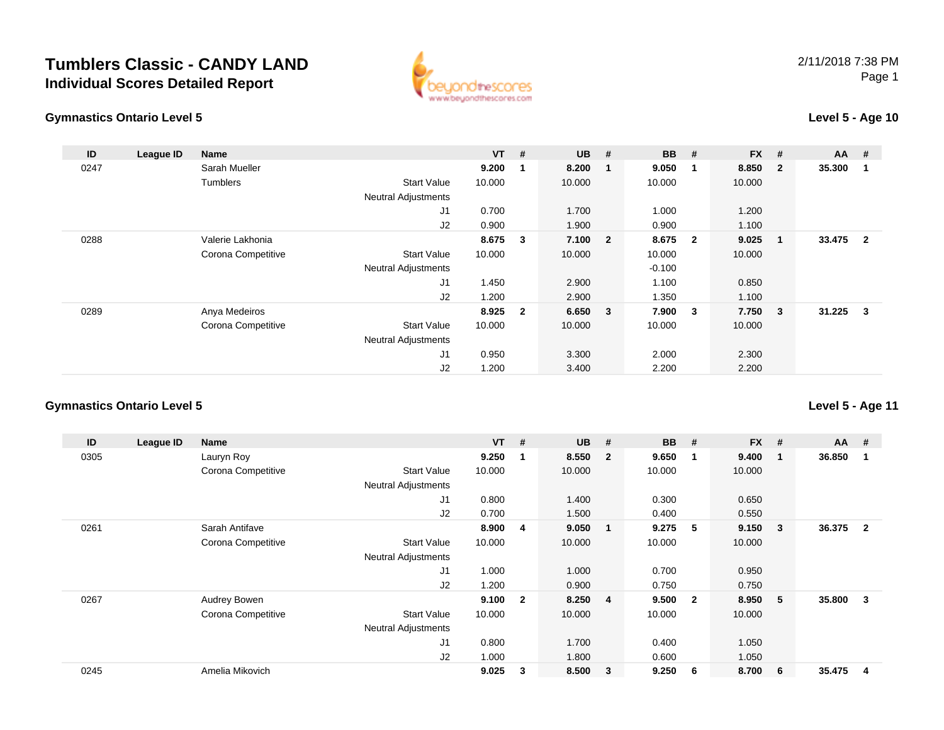



### **Level 5 - Age 10**

| ID   | League ID | <b>Name</b>        |                            | <b>VT</b> | #              | <b>UB</b> | #                       | <b>BB</b> | #                       | <b>FX</b> | #                       | <b>AA</b> | #                       |
|------|-----------|--------------------|----------------------------|-----------|----------------|-----------|-------------------------|-----------|-------------------------|-----------|-------------------------|-----------|-------------------------|
| 0247 |           | Sarah Mueller      |                            | 9.200     | $\mathbf 1$    | 8.200     |                         | 9.050     | $\overline{\mathbf{1}}$ | 8.850     | $\overline{\mathbf{2}}$ | 35.300    | -1                      |
|      |           | <b>Tumblers</b>    | <b>Start Value</b>         | 10.000    |                | 10.000    |                         | 10.000    |                         | 10.000    |                         |           |                         |
|      |           |                    | <b>Neutral Adjustments</b> |           |                |           |                         |           |                         |           |                         |           |                         |
|      |           |                    | J1                         | 0.700     |                | 1.700     |                         | 1.000     |                         | 1.200     |                         |           |                         |
|      |           |                    | J2                         | 0.900     |                | 1.900     |                         | 0.900     |                         | 1.100     |                         |           |                         |
| 0288 |           | Valerie Lakhonia   |                            | 8.675     | 3              | 7.100     | $\overline{2}$          | 8.675     | $\overline{\mathbf{2}}$ | 9.025     | - 1                     | 33.475    | $\overline{\mathbf{2}}$ |
|      |           | Corona Competitive | <b>Start Value</b>         | 10.000    |                | 10.000    |                         | 10.000    |                         | 10.000    |                         |           |                         |
|      |           |                    | <b>Neutral Adjustments</b> |           |                |           |                         | $-0.100$  |                         |           |                         |           |                         |
|      |           |                    | J <sub>1</sub>             | 1.450     |                | 2.900     |                         | 1.100     |                         | 0.850     |                         |           |                         |
|      |           |                    | J2                         | 1.200     |                | 2.900     |                         | 1.350     |                         | 1.100     |                         |           |                         |
| 0289 |           | Anya Medeiros      |                            | 8.925     | $\overline{2}$ | 6.650     | $\overline{\mathbf{3}}$ | 7.900     | $\overline{\mathbf{3}}$ | 7.750     | $\overline{\mathbf{3}}$ | 31.225    | $\mathbf{3}$            |
|      |           | Corona Competitive | <b>Start Value</b>         | 10.000    |                | 10.000    |                         | 10.000    |                         | 10.000    |                         |           |                         |
|      |           |                    | <b>Neutral Adjustments</b> |           |                |           |                         |           |                         |           |                         |           |                         |
|      |           |                    | J1                         | 0.950     |                | 3.300     |                         | 2.000     |                         | 2.300     |                         |           |                         |
|      |           |                    | J2                         | 1.200     |                | 3.400     |                         | 2.200     |                         | 2.200     |                         |           |                         |

### **Gymnastics Ontario Level 5**

| ID   | League ID | Name               |                            | <b>VT</b> | #                       | <b>UB</b> | #                       | <b>BB</b> | #                       | <b>FX</b> | #  | <b>AA</b> | #              |
|------|-----------|--------------------|----------------------------|-----------|-------------------------|-----------|-------------------------|-----------|-------------------------|-----------|----|-----------|----------------|
| 0305 |           | Lauryn Roy         |                            | 9.250     |                         | 8.550     | $\overline{\mathbf{2}}$ | 9.650     | -1                      | 9.400     | -1 | 36.850    |                |
|      |           | Corona Competitive | <b>Start Value</b>         | 10.000    |                         | 10.000    |                         | 10.000    |                         | 10.000    |    |           |                |
|      |           |                    | <b>Neutral Adjustments</b> |           |                         |           |                         |           |                         |           |    |           |                |
|      |           |                    | J <sub>1</sub>             | 0.800     |                         | 1.400     |                         | 0.300     |                         | 0.650     |    |           |                |
|      |           |                    | J2                         | 0.700     |                         | 1.500     |                         | 0.400     |                         | 0.550     |    |           |                |
| 0261 |           | Sarah Antifave     |                            | 8.900     | 4                       | 9.050     | -1                      | 9.275     | -5                      | 9.150     | 3  | 36.375    | $\overline{2}$ |
|      |           | Corona Competitive | <b>Start Value</b>         | 10.000    |                         | 10.000    |                         | 10.000    |                         | 10.000    |    |           |                |
|      |           |                    | <b>Neutral Adjustments</b> |           |                         |           |                         |           |                         |           |    |           |                |
|      |           |                    | J <sub>1</sub>             | 1.000     |                         | 1.000     |                         | 0.700     |                         | 0.950     |    |           |                |
|      |           |                    | J2                         | 1.200     |                         | 0.900     |                         | 0.750     |                         | 0.750     |    |           |                |
| 0267 |           | Audrey Bowen       |                            | 9.100     | $\overline{\mathbf{2}}$ | 8.250     | $\overline{4}$          | 9.500     | $\overline{\mathbf{2}}$ | 8.950     | 5  | 35.800    | 3              |
|      |           | Corona Competitive | <b>Start Value</b>         | 10.000    |                         | 10.000    |                         | 10.000    |                         | 10.000    |    |           |                |
|      |           |                    | <b>Neutral Adjustments</b> |           |                         |           |                         |           |                         |           |    |           |                |
|      |           |                    | J <sub>1</sub>             | 0.800     |                         | 1.700     |                         | 0.400     |                         | 1.050     |    |           |                |
|      |           |                    | J2                         | 1.000     |                         | 1.800     |                         | 0.600     |                         | 1.050     |    |           |                |
| 0245 |           | Amelia Mikovich    |                            | 9.025     | 3                       | 8.500     | $\overline{\mathbf{3}}$ | 9.250     | - 6                     | 8.700     | 6  | 35.475    | 4              |

**Level 5 - Age 11**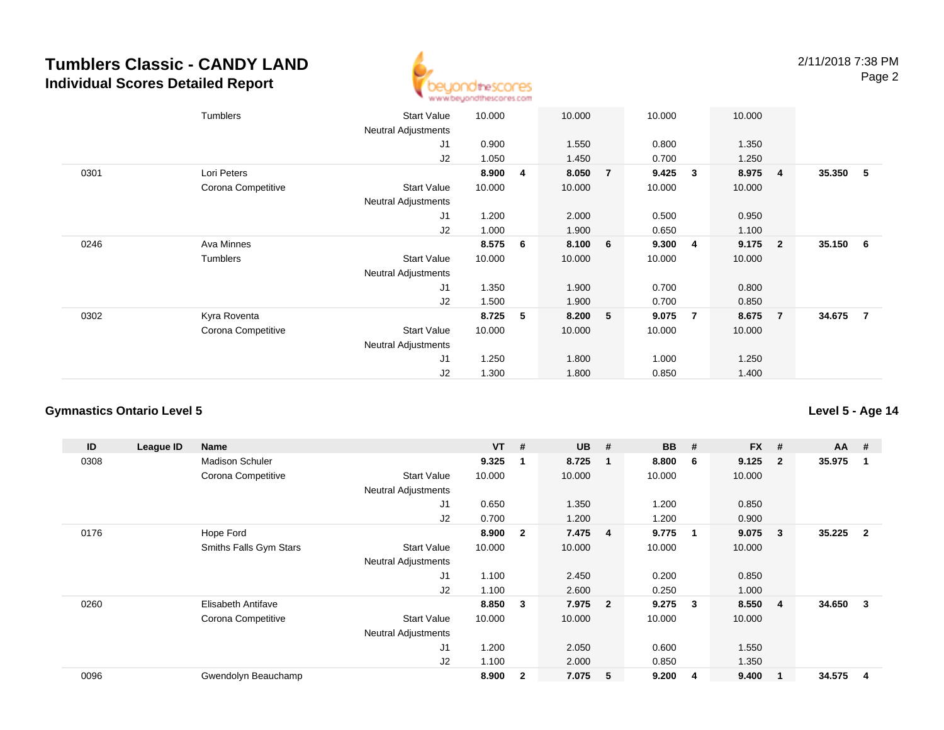

|      | Tumblers           | <b>Start Value</b>         | 10.000 |    | 10.000 |                | 10.000 |                | 10.000 |                         |          |     |
|------|--------------------|----------------------------|--------|----|--------|----------------|--------|----------------|--------|-------------------------|----------|-----|
|      |                    | Neutral Adjustments        |        |    |        |                |        |                |        |                         |          |     |
|      |                    | J1                         | 0.900  |    | 1.550  |                | 0.800  |                | 1.350  |                         |          |     |
|      |                    | J2                         | 1.050  |    | 1.450  |                | 0.700  |                | 1.250  |                         |          |     |
| 0301 | Lori Peters        |                            | 8.900  | 4  | 8.050  | $\overline{7}$ | 9.425  | 3              | 8.975  | $\overline{4}$          | 35.350   | - 5 |
|      | Corona Competitive | <b>Start Value</b>         | 10.000 |    | 10.000 |                | 10.000 |                | 10.000 |                         |          |     |
|      |                    | <b>Neutral Adjustments</b> |        |    |        |                |        |                |        |                         |          |     |
|      |                    | J1                         | 1.200  |    | 2.000  |                | 0.500  |                | 0.950  |                         |          |     |
|      |                    | J2                         | 1.000  |    | 1.900  |                | 0.650  |                | 1.100  |                         |          |     |
| 0246 | Ava Minnes         |                            | 8.575  | -6 | 8.100  | 6              | 9.300  | 4              | 9.175  | $\overline{\mathbf{2}}$ | 35.150 6 |     |
|      | Tumblers           | <b>Start Value</b>         | 10.000 |    | 10.000 |                | 10.000 |                | 10.000 |                         |          |     |
|      |                    | <b>Neutral Adjustments</b> |        |    |        |                |        |                |        |                         |          |     |
|      |                    | J1                         | 1.350  |    | 1.900  |                | 0.700  |                | 0.800  |                         |          |     |
|      |                    | J2                         | 1.500  |    | 1.900  |                | 0.700  |                | 0.850  |                         |          |     |
| 0302 | Kyra Roventa       |                            | 8.725  | 5  | 8.200  | 5              | 9.075  | $\overline{7}$ | 8.675  | $\overline{7}$          | 34.675 7 |     |
|      | Corona Competitive | <b>Start Value</b>         | 10.000 |    | 10.000 |                | 10.000 |                | 10.000 |                         |          |     |
|      |                    | <b>Neutral Adjustments</b> |        |    |        |                |        |                |        |                         |          |     |
|      |                    | J1                         | 1.250  |    | 1.800  |                | 1.000  |                | 1.250  |                         |          |     |
|      |                    | J2                         | 1.300  |    | 1.800  |                | 0.850  |                | 1.400  |                         |          |     |

#### **Gymnastics Ontario Level 5**

**ID League ID Name VT # UB # BB # FX # AA #** 0308 Madison Schuler **9.325 <sup>1</sup> 8.725 <sup>1</sup> 8.800 <sup>6</sup> 9.125 <sup>2</sup> 35.975 <sup>1</sup>** Corona Competitive Start Value 10.000 10.000 10.000 10.000 Neutral Adjustments J1 0.650 1.350 1.200 0.850 J2 0.700 1.200 1.200 0.900 0176 Hope Ford **8.900 <sup>2</sup> 7.475 <sup>4</sup> 9.775 <sup>1</sup> 9.075 <sup>3</sup> 35.225 <sup>2</sup>** Smiths Falls Gym Stars Start Valuee 10.000 10.000 10.000 10.000 Neutral Adjustments J1 1.100 2.450 0.200 0.850 J2 1.100 2.600 0.250 1.000 0260 Elisabeth Antifave **8.850 <sup>3</sup> 7.975 <sup>2</sup> 9.275 <sup>3</sup> 8.550 <sup>4</sup> 34.650 <sup>3</sup>** Corona Competitive Start Value 10.000 10.000 10.000 10.000 Neutral Adjustments J1 1.200 2.050 0.600 1.550 J2 1.100 2.000 0.850 1.350 0096Gwendolyn Beauchamp **8.900 <sup>2</sup> 7.075 <sup>5</sup> 9.200 <sup>4</sup> 9.400 <sup>1</sup> 34.575 <sup>4</sup>**

**Level 5 - Age 14**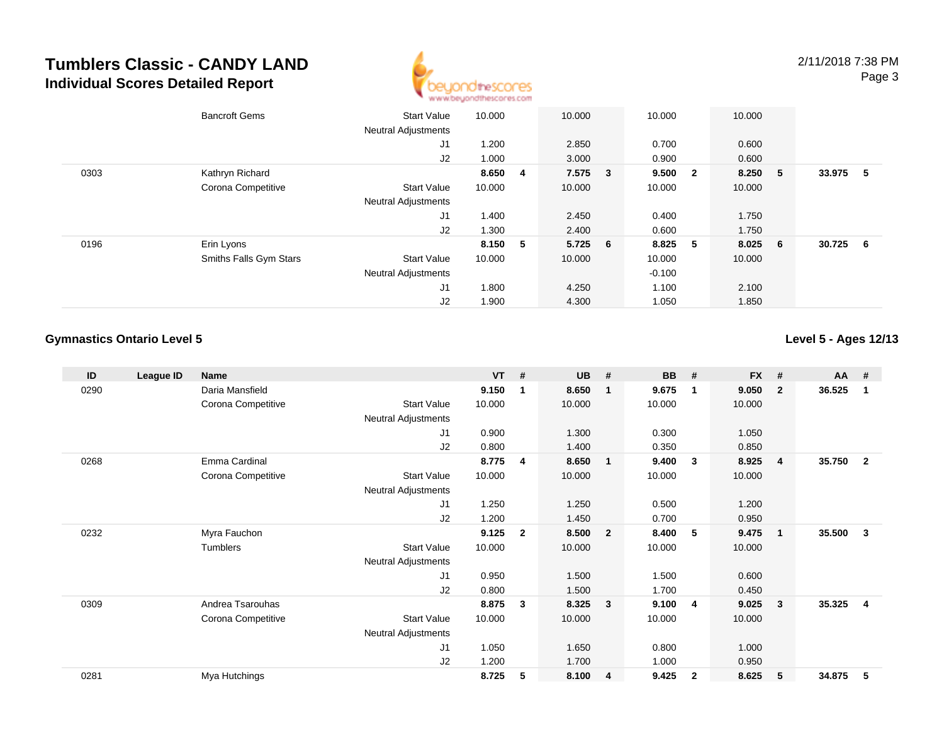

|      | <b>Bancroft Gems</b>   | <b>Start Value</b><br><b>Neutral Adjustments</b> | 10.000  | 10.000    | 10.000   |                | 10.000  |   |        |     |
|------|------------------------|--------------------------------------------------|---------|-----------|----------|----------------|---------|---|--------|-----|
|      |                        | J1                                               | 1.200   | 2.850     | 0.700    |                | 0.600   |   |        |     |
|      |                        | J2                                               | 1.000   | 3.000     | 0.900    |                | 0.600   |   |        |     |
| 0303 | Kathryn Richard        |                                                  | 8.650 4 | 7.575 3   | 9.500 2  |                | 8.250 5 |   | 33.975 | - 5 |
|      | Corona Competitive     | <b>Start Value</b>                               | 10.000  | 10.000    | 10.000   |                | 10.000  |   |        |     |
|      |                        | <b>Neutral Adjustments</b>                       |         |           |          |                |         |   |        |     |
|      |                        | J1                                               | 1.400   | 2.450     | 0.400    |                | 1.750   |   |        |     |
|      |                        | J2                                               | 1.300   | 2.400     | 0.600    |                | 1.750   |   |        |     |
| 0196 | Erin Lyons             |                                                  | 8.150 5 | $5.725$ 6 | 8.825    | 5 <sub>5</sub> | 8.025   | 6 | 30.725 | - 6 |
|      | Smiths Falls Gym Stars | <b>Start Value</b>                               | 10.000  | 10.000    | 10.000   |                | 10.000  |   |        |     |
|      |                        | <b>Neutral Adjustments</b>                       |         |           | $-0.100$ |                |         |   |        |     |
|      |                        | J <sub>1</sub>                                   | 1.800   | 4.250     | 1.100    |                | 2.100   |   |        |     |
|      |                        | J2                                               | 1.900   | 4.300     | 1.050    |                | 1.850   |   |        |     |

### **Gymnastics Ontario Level 5**

**Level 5 - Ages 12/13**

| ID   | League ID | <b>Name</b>        |                            | $VT$ # |              | <b>UB</b> | #                       | <b>BB</b> | #              | <b>FX</b> | #              | $AA$ # |                |
|------|-----------|--------------------|----------------------------|--------|--------------|-----------|-------------------------|-----------|----------------|-----------|----------------|--------|----------------|
| 0290 |           | Daria Mansfield    |                            | 9.150  | -1           | 8.650     | $\overline{\mathbf{1}}$ | 9.675     | $\mathbf 1$    | 9.050     | $\mathbf{2}$   | 36.525 | 1              |
|      |           | Corona Competitive | <b>Start Value</b>         | 10.000 |              | 10.000    |                         | 10.000    |                | 10.000    |                |        |                |
|      |           |                    | Neutral Adjustments        |        |              |           |                         |           |                |           |                |        |                |
|      |           |                    | J <sub>1</sub>             | 0.900  |              | 1.300     |                         | 0.300     |                | 1.050     |                |        |                |
|      |           |                    | J2                         | 0.800  |              | 1.400     |                         | 0.350     |                | 0.850     |                |        |                |
| 0268 |           | Emma Cardinal      |                            | 8.775  | 4            | 8.650     | $\overline{\mathbf{1}}$ | 9.400     | 3              | 8.925     | $\overline{4}$ | 35.750 | $\mathbf{2}$   |
|      |           | Corona Competitive | <b>Start Value</b>         | 10.000 |              | 10.000    |                         | 10.000    |                | 10.000    |                |        |                |
|      |           |                    | Neutral Adjustments        |        |              |           |                         |           |                |           |                |        |                |
|      |           |                    | J <sub>1</sub>             | 1.250  |              | 1.250     |                         | 0.500     |                | 1.200     |                |        |                |
|      |           |                    | J2                         | 1.200  |              | 1.450     |                         | 0.700     |                | 0.950     |                |        |                |
| 0232 |           | Myra Fauchon       |                            | 9.125  | $\mathbf{2}$ | 8.500     | $\overline{\mathbf{2}}$ | 8.400     | 5              | 9.475     | $\mathbf 1$    | 35.500 | 3              |
|      |           | Tumblers           | <b>Start Value</b>         | 10.000 |              | 10.000    |                         | 10.000    |                | 10.000    |                |        |                |
|      |           |                    | Neutral Adjustments        |        |              |           |                         |           |                |           |                |        |                |
|      |           |                    | J1                         | 0.950  |              | 1.500     |                         | 1.500     |                | 0.600     |                |        |                |
|      |           |                    | J2                         | 0.800  |              | 1.500     |                         | 1.700     |                | 0.450     |                |        |                |
| 0309 |           | Andrea Tsarouhas   |                            | 8.875  | 3            | 8.325     | $\mathbf{3}$            | 9.100     | -4             | 9.025     | 3              | 35.325 | $\overline{4}$ |
|      |           | Corona Competitive | <b>Start Value</b>         | 10.000 |              | 10.000    |                         | 10.000    |                | 10.000    |                |        |                |
|      |           |                    | <b>Neutral Adjustments</b> |        |              |           |                         |           |                |           |                |        |                |
|      |           |                    | J1                         | 1.050  |              | 1.650     |                         | 0.800     |                | 1.000     |                |        |                |
|      |           |                    | J <sub>2</sub>             | 1.200  |              | 1.700     |                         | 1.000     |                | 0.950     |                |        |                |
| 0281 |           | Mya Hutchings      |                            | 8.725  | 5            | 8.100     | $\overline{4}$          | 9.425     | $\overline{2}$ | 8.625     | 5              | 34.875 | 5              |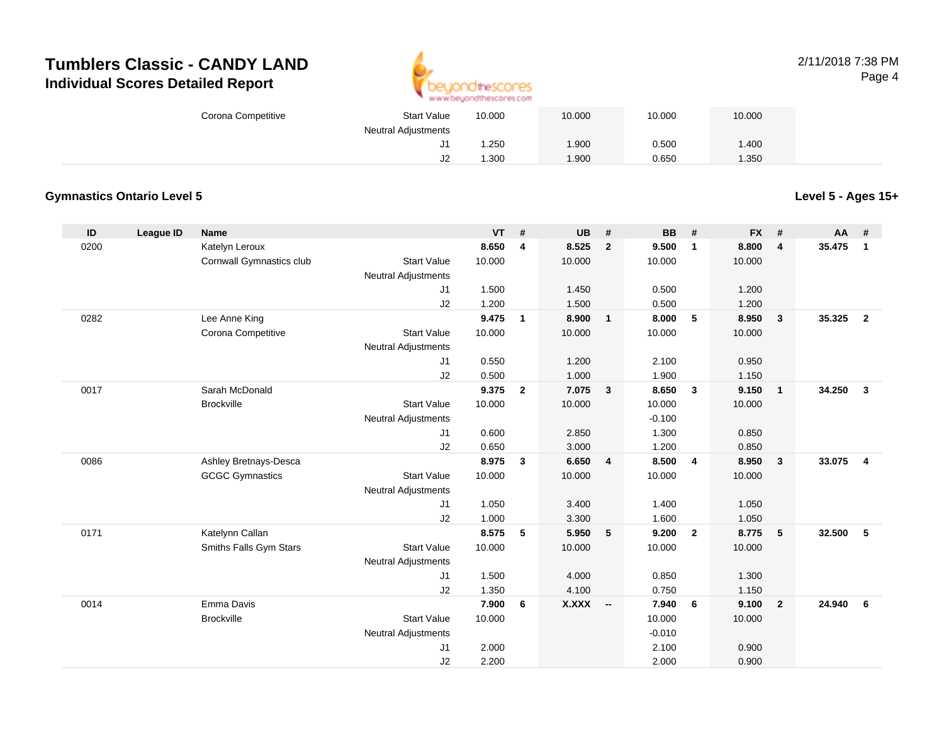

### 2/11/2018 7:38 PMPage 4

| Corona Competitive | <b>Start Value</b>  | 10.000 | 10.000 | 10.000 | 10.000 |  |
|--------------------|---------------------|--------|--------|--------|--------|--|
|                    | Neutral Adjustments |        |        |        |        |  |
|                    | J1                  | .250   | .900   | 0.500  | 1.400  |  |
|                    | J2                  | .300   | .900   | 0.650  | .350   |  |

### **Gymnastics Ontario Level 5**

**Level 5 - Ages 15+**

| ID   | League ID | <b>Name</b>              |                            | <b>VT</b> | #              | <b>UB</b> | #              | <b>BB</b> | #              | <b>FX</b> | #                       | <b>AA</b> | #                       |
|------|-----------|--------------------------|----------------------------|-----------|----------------|-----------|----------------|-----------|----------------|-----------|-------------------------|-----------|-------------------------|
| 0200 |           | Katelyn Leroux           |                            | 8.650     | 4              | 8.525     | $\overline{2}$ | 9.500     | $\mathbf{1}$   | 8.800     | $\overline{\mathbf{4}}$ | 35.475    | $\mathbf{1}$            |
|      |           | Cornwall Gymnastics club | <b>Start Value</b>         | 10.000    |                | 10.000    |                | 10.000    |                | 10.000    |                         |           |                         |
|      |           |                          | <b>Neutral Adjustments</b> |           |                |           |                |           |                |           |                         |           |                         |
|      |           |                          | J1                         | 1.500     |                | 1.450     |                | 0.500     |                | 1.200     |                         |           |                         |
|      |           |                          | J2                         | 1.200     |                | 1.500     |                | 0.500     |                | 1.200     |                         |           |                         |
| 0282 |           | Lee Anne King            |                            | 9.475     | $\mathbf{1}$   | 8.900     | $\mathbf{1}$   | 8.000     | 5              | 8.950     | $\overline{\mathbf{3}}$ | 35.325    | $\overline{2}$          |
|      |           | Corona Competitive       | <b>Start Value</b>         | 10.000    |                | 10.000    |                | 10.000    |                | 10.000    |                         |           |                         |
|      |           |                          | <b>Neutral Adjustments</b> |           |                |           |                |           |                |           |                         |           |                         |
|      |           |                          | J1                         | 0.550     |                | 1.200     |                | 2.100     |                | 0.950     |                         |           |                         |
|      |           |                          | J2                         | 0.500     |                | 1.000     |                | 1.900     |                | 1.150     |                         |           |                         |
| 0017 |           | Sarah McDonald           |                            | 9.375     | $\overline{2}$ | 7.075     | $\mathbf{3}$   | 8.650     | $\mathbf{3}$   | 9.150     | $\overline{1}$          | 34.250    | $\overline{\mathbf{3}}$ |
|      |           | <b>Brockville</b>        | <b>Start Value</b>         | 10.000    |                | 10.000    |                | 10.000    |                | 10.000    |                         |           |                         |
|      |           |                          | <b>Neutral Adjustments</b> |           |                |           |                | $-0.100$  |                |           |                         |           |                         |
|      |           |                          | J1                         | 0.600     |                | 2.850     |                | 1.300     |                | 0.850     |                         |           |                         |
|      |           |                          | J2                         | 0.650     |                | 3.000     |                | 1.200     |                | 0.850     |                         |           |                         |
| 0086 |           | Ashley Bretnays-Desca    |                            | 8.975     | $\mathbf{3}$   | 6.650     | 4              | 8.500     | $\overline{4}$ | 8.950     | 3                       | 33.075    | $\overline{4}$          |
|      |           | <b>GCGC Gymnastics</b>   | <b>Start Value</b>         | 10.000    |                | 10.000    |                | 10.000    |                | 10.000    |                         |           |                         |
|      |           |                          | <b>Neutral Adjustments</b> |           |                |           |                |           |                |           |                         |           |                         |
|      |           |                          | J1                         | 1.050     |                | 3.400     |                | 1.400     |                | 1.050     |                         |           |                         |
|      |           |                          | J2                         | 1.000     |                | 3.300     |                | 1.600     |                | 1.050     |                         |           |                         |
| 0171 |           | Katelynn Callan          |                            | 8.575     | 5              | 5.950     | 5              | 9.200     | $\overline{2}$ | 8.775     | 5                       | 32.500    | 5                       |
|      |           | Smiths Falls Gym Stars   | <b>Start Value</b>         | 10.000    |                | 10.000    |                | 10.000    |                | 10.000    |                         |           |                         |
|      |           |                          | <b>Neutral Adjustments</b> |           |                |           |                |           |                |           |                         |           |                         |
|      |           |                          | J1                         | 1.500     |                | 4.000     |                | 0.850     |                | 1.300     |                         |           |                         |
|      |           |                          | J2                         | 1.350     |                | 4.100     |                | 0.750     |                | 1.150     |                         |           |                         |
| 0014 |           | Emma Davis               |                            | 7.900     | 6              | X.XXX     | $\sim$         | 7.940     | - 6            | 9.100     | $\overline{2}$          | 24.940    | - 6                     |
|      |           | <b>Brockville</b>        | <b>Start Value</b>         | 10.000    |                |           |                | 10.000    |                | 10.000    |                         |           |                         |
|      |           |                          | Neutral Adjustments        |           |                |           |                | $-0.010$  |                |           |                         |           |                         |
|      |           |                          | J <sub>1</sub>             | 2.000     |                |           |                | 2.100     |                | 0.900     |                         |           |                         |
|      |           |                          | J2                         | 2.200     |                |           |                | 2.000     |                | 0.900     |                         |           |                         |